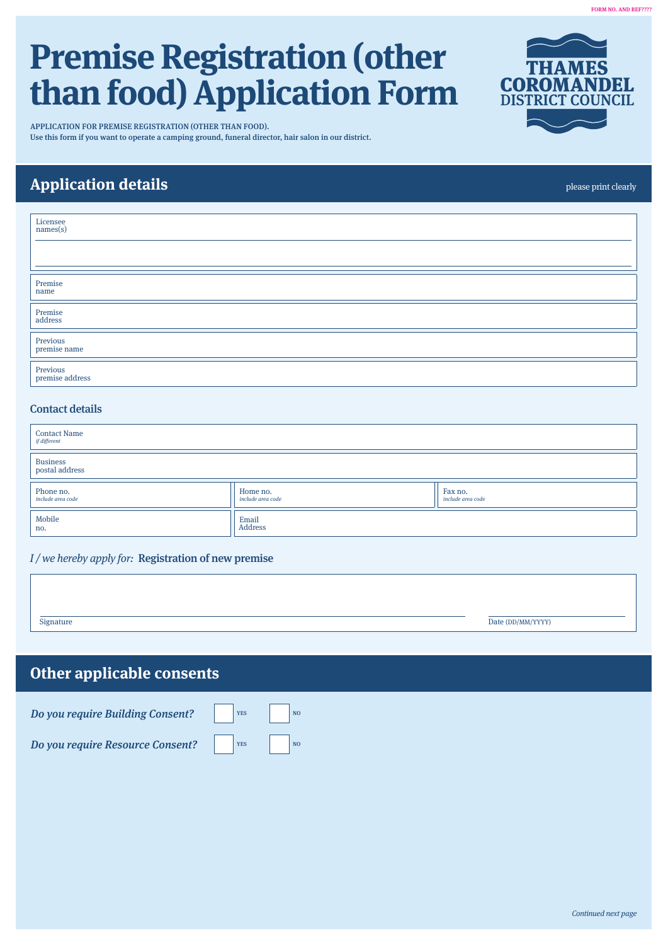#### FORM NO. AND REF????

# **Premise Registration (other than food) Application Form**

APPLICATION FOR PREMISE REGISTRATION (OTHER THAN FOOD). Use this form if you want to operate a camping ground, funeral director, hair salon in our district.

## **Application details**

Premise name Premise address Previous premise name Previous premise address Licensee names(s)

### Contact details

 $\overline{1}$ 

| <b>Contact Name</b><br>if different |                               |                              |  |  |
|-------------------------------------|-------------------------------|------------------------------|--|--|
| Business<br>postal address          |                               |                              |  |  |
| Phone no.<br>include area code      | Home no.<br>include area code | Fax no.<br>include area code |  |  |
| Mobile<br>no.                       | Email<br>Address              |                              |  |  |

#### $I$  / we hereby apply for: Registration of new premise

| Signature | Date (DD/MM/YYYY) |
|-----------|-------------------|
|           |                   |

## **Other applicable consents**



please print clearly